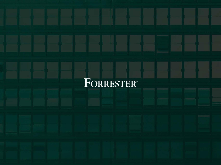# FORRESTER®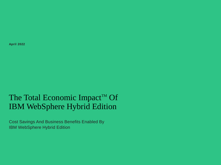**April 2022**

# The Total Economic Impact<sup>™</sup> Of IBM WebSphere Hybrid Edition

Cost Savings And Business Benefits Enabled By IBM WebSphere Hybrid Edition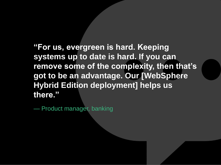**"For us, evergreen is hard. Keeping systems up to date is hard. If you can remove some of the complexity, then that's got to be an advantage. Our [WebSphere Hybrid Edition deployment] helps us there."**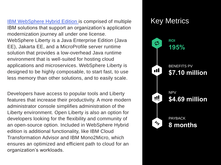**[IBM WebSphere Hybrid Edition i](https://www.ibm.com/cloud/websphere-hybrid-edition)s comprised of multiple Key Metrics** IBM solutions that support an organization's application modernization journey all under one license. WebSphere Liberty is a Java Enterprise Edition (Java EE), Jakarta EE, and a MicroProfile server runtime solution that provides a low-overhead Java runtime environment that is well-suited for hosting cloud applications and microservices. WebSphere Liberty is designed to be highly composable, to start fast, to use less memory than other solutions, and to easily scale.

Developers have access to popular tools and Liberty features that increase their productivity. A more modern administrator console simplifies administration of the Liberty environment. Open Liberty is also an option for developers looking for the flexibility and community of an open-source option. Included in WebSphere Hybrid edition is additional functionality, like IBM Cloud Transformation Advisor and IBM Mono2Micro, which ensures an optimized and efficient path to cloud for an organization's workloads.

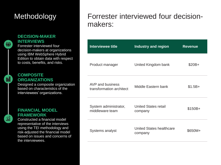# Methodology

### **DECISION-MAKER INTERVIEWS**

Forrester interviewed four decision-makers at organizations using IBM WebSphere Hybrid Edition to obtain data with respect to costs, benefits, and risks.

## 醖

аî

ÿÏ

### **COMPOSITE ORGANIZATIONS**

Designed a composite organization based on characteristics of the interviewees' organizations.

**FINANCIAL MODEL FRAMEWORK**

Constructed a financial model representative of the interviews using the TEI methodology and risk-adjusted the financial model based on issues and concerns of the interviewees.

# Forrester interviewed four decisionmakers:

| <b>Interviewee title</b>                     | <b>Industry and region</b>                 | <b>Revenue</b> |
|----------------------------------------------|--------------------------------------------|----------------|
| Product manager                              | United Kingdom bank                        | \$20B+         |
| AVP and business<br>transformation architect | Middle Eastern bank                        | $$1.5B+$       |
| System administrator,<br>middleware team     | United States retail<br>company            | $$150B+$       |
| <b>Systems analyst</b>                       | <b>United States healthcare</b><br>company | \$650M+        |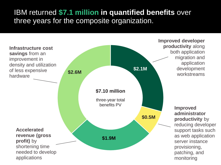# IBM returned **\$7.1 million in quantified benefits** over three years for the composite organization.

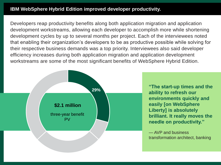### **IBM WebSphere Hybrid Edition improved developer productivity.**

Developers reap productivity benefits along both application migration and application development workstreams, allowing each developer to accomplish more while shortening development cycles by up to several months per project. Each of the interviewees noted that enabling their organization's developers to be as productive possible while solving for their respective business demands was a top priority. Interviewees also said developer efficiency increases during both application migration and application development workstreams are some of the most significant benefits of WebSphere Hybrid Edition.



**"The start-up times and the ability to refresh our environments quickly and easily [on WebSphere Liberty] is absolutely brilliant. It really moves the needle on productivity."**

— AVP and business transformation architect, banking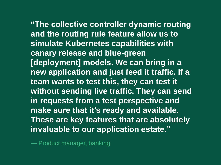**"The collective controller dynamic routing and the routing rule feature allow us to simulate Kubernetes capabilities with canary release and blue-green [deployment] models. We can bring in a new application and just feed it traffic. If a team wants to test this, they can test it without sending live traffic. They can send in requests from a test perspective and make sure that it's ready and available. These are key features that are absolutely invaluable to our application estate."**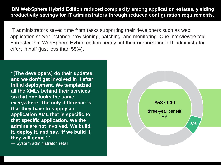**IBM WebSphere Hybrid Edition reduced complexity among application estates, yielding productivity savings for IT administrators through reduced configuration requirements.** 

IT administrators saved time from tasks supporting their developers such as web application server instance provisioning, patching, and monitoring. One interviewee told Forrester that WebSphere Hybrid edition nearly cut their organization's IT administrator effort in half (just less than 55%).

**"[The developers] do their updates, and we don't get involved in it after initial deployment. We templatized all the XMLs behind their services so that one looks the same everywhere. The only difference is that they have to supply an application XML that is specific to that specific application. We the admins are not involved. We build it, deploy it, and say, 'If we build it, they will come.'"**

— System administrator, retail

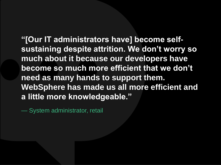**"[Our IT administrators have] become selfsustaining despite attrition. We don't worry so much about it because our developers have become so much more efficient that we don't need as many hands to support them. WebSphere has made us all more efficient and a little more knowledgeable."**

— System administrator, retail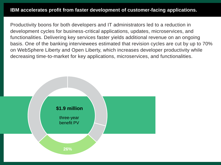Productivity boons for both developers and IT administrators led to a reduction in development cycles for business-critical applications, updates, microservices, and functionalities. Delivering key services faster yields additional revenue on an ongoing basis. One of the banking interviewees estimated that revision cycles are cut by up to 70% on WebSphere Liberty and Open Liberty, which increases developer productivity while decreasing time-to-market for key applications, microservices, and functionalities.

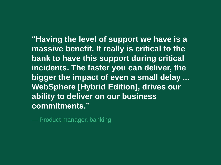**"Having the level of support we have is a massive benefit. It really is critical to the bank to have this support during critical incidents. The faster you can deliver, the bigger the impact of even a small delay ... WebSphere [Hybrid Edition], drives our ability to deliver on our business commitments."**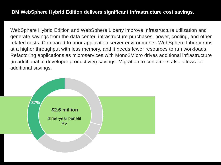WebSphere Hybrid Edition and WebSphere Liberty improve infrastructure utilization and generate savings from the data center, infrastructure purchases, power, cooling, and other related costs. Compared to prior application server environments, WebSphere Liberty runs at a higher throughput with less memory, and it needs fewer resources to run workloads. Refactoring applications as microservices with Mono2Micro drives additional infrastructure (in additional to developer productivity) savings. Migration to containers also allows for additional savings.

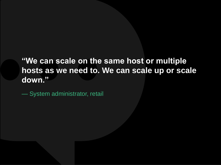**"We can scale on the same host or multiple hosts as we need to. We can scale up or scale down."**

— System administrator, retail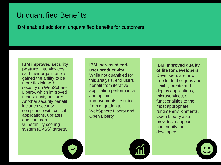# Unquantified Benefits

IBM enabled additional unquantified benefits for customers:

#### **IBM improved security**

**posture.** Interviewees said their organizations gained the ability to be more flexible with security on WebSphere Liberty, which improved their security postures. Another security benefit includes security compliance with critical applications, updates, and common vulnerability scoring system (CVSS) targets.

### **IBM increased enduser productivity.**

While not quantified for this analysis, end users benefit from iterative application performance and uptime improvements resulting from migration to WebSphere Liberty and Open Liberty.

### **IBM improved quality of life for developers.**

Developers are now free to do their jobs and flexibly create and deploy applications, microservices, or functionalities to the most appropriate runtime environments. Open Liberty also provides a support community for developers.



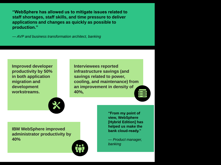**"WebSphere has allowed us to mitigate issues related to staff shortages, staff skills, and time pressure to deliver applications and changes as quickly as possible to production."**

*— AVP and business transformation architect, banking*

**Improved developer productivity by 50% in both application migration and development workstreams.** 

**Interviewees reported infrastructure savings (and savings related to power, cooling, and maintenance) from an improvement in density of 40%,** 



**IBM WebSphere improved administrator productivity by 40%** 



**"From my point of view, WebSphere [Hybrid Edition] has helped us make the bank cloud-ready."**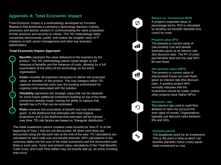### **Appendix A: Total Economic Impact**

Total Economic Impact is a methodology developed by Forrester Research that enhances a company's technology decision-making processes and assists vendors in communicating the value proposition of their products and services to clients. The TEI methodology helps companies demonstrate, justify, and realize the tangible value of IT initiatives to both senior management and other key business stakeholders.

#### **Total Economic Impact Approach**

 $\mathbf{v}$ 

**!**

(图

**Benefits** represent the value delivered to the business by the product. The TEI methodology places equal weight on the measure of benefits and the measure of costs, allowing for a full examination of the effect of the technology on the entire organization.

**Costs** consider all expenses necessary to deliver the proposed value, or benefits, of the product. The cost category within TEI captures incremental costs over the existing environment for ongoing costs associated with the solution.

**Flexibility** represents the strategic value that can be obtained for some future additional investment building on top of the initial investment already made. Having the ability to capture that benefit has a PV that can be estimated.

**Risks** measure the uncertainty of benefit and cost estimates given: 1) the likelihood that estimates will meet original projections and 2) the likelihood that estimates will be tracked over time. TEI risk factors are based on "triangular distribution."

The initial investment column contains costs incurred at "time 0" or at the beginning of Year 1 that are not discounted. All other cash flows are discounted using the discount rate at the end of the year. PV calculations are calculated for each total cost and benefit estimate. NPV calculations in the summary tables are the sum of the initial investment and the discounted cash flows in each year. Sums and present value calculations of the Total Benefits, Total Costs, and Cash Flow tables may not exactly add up, as some rounding may occur.



#### **Return on investment (ROI)**

A project's expected return in percentage terms. ROI is calculated by dividing net benefits (benefits less costs) by costs.

#### **Present value (PV)**

The present or current value of (discounted) cost and benefit estimates given at an interest rate (the discount rate). The PV of costs and benefits feed into the total NPV of cash flows.

#### **Net present value (NPV)**

The present or current value of (discounted) future net cash flows given an interest rate (the discount rate). A positive project NPV normally indicates that the investment should be made, unless other projects have higher NPVs.

#### **Discount rate**

The interest rate used in cash flow analysis to take into account the time value of money. Organizations typically use discount rates between 8% and 16%.



#### **Payback period**

The breakeven point for an investment. This is the point in time at which net benefits (benefits minus costs) equal initial investment or cost.